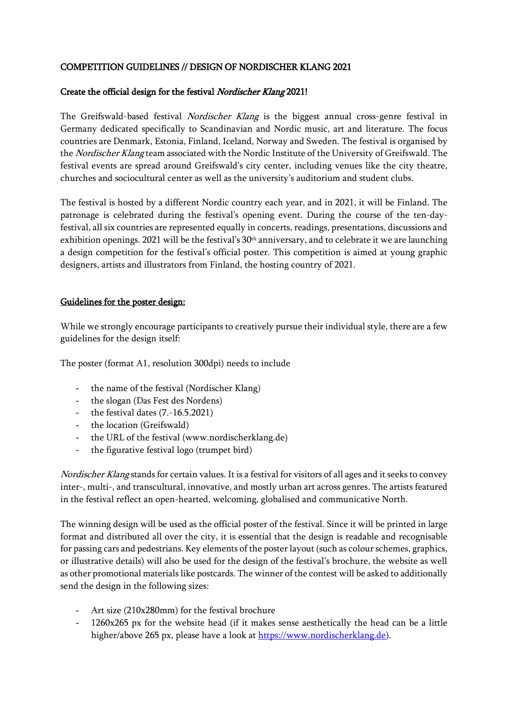## COMPETITION GUIDELINES // DESIGN OF NORDISCHER KLANG 2021

## Create the official design for the festival Nordischer Klang 2021!

The Greifswald-based festival Nordischer Klang is the biggest annual cross-genre festival in Germany dedicated specifically to Scandinavian and Nordic music, art and literature. The focus countries are Denmark, Estonia, Finland, Iceland, Norway and Sweden. The festival is organised by the Nordischer Klang team associated with the Nordic Institute of the University of Greifswald. The festival events are spread around Greifswald's city center, including venues like the city theatre, churches and sociocultural center as well as the university's auditorium and student clubs.

The festival is hosted by a different Nordic country each year, and in 2021, it will be Finland. The patronage is celebrated during the festival's opening event. During the course of the ten-dayfestival, all six countries are represented equally in concerts, readings, presentations, discussions and exhibition openings. 2021 will be the festival's 30<sup>th</sup> anniversary, and to celebrate it we are launching a design competition for the festival's official poster. This competition is aimed at young graphic designers, artists and illustrators from Finland, the hosting country of 2021.

## Guidelines for the poster design:

While we strongly encourage participants to creatively pursue their individual style, there are a few guidelines for the design itself:

The poster (format A1, resolution 300dpi) needs to include

- the name of the festival (Nordischer Klang)
- the slogan (Das Fest des Nordens)
- the festival dates (7.-16.5.2021)
- the location (Greifswald)
- the URL of the festival (www.nordischerklang.de)
- the figurative festival logo (trumpet bird)

Nordischer Klang stands for certain values. It is a festival for visitors of all ages and it seeks to convey inter-, multi-, and transcultural, innovative, and mostly urban art across genres. The artists featured in the festival reflect an open-hearted, welcoming, globalised and communicative North.

The winning design will be used as the official poster of the festival. Since it will be printed in large format and distributed all over the city, it is essential that the design is readable and recognisable for passing cars and pedestrians. Key elements of the poster layout (such as colour schemes, graphics, or illustrative details) will also be used for the design of the festival's brochure, the website as well as other promotional materials like postcards. The winner of the contest will be asked to additionally send the design in the following sizes:

- Art size (210x280mm) for the festival brochure
- 1260x265 px for the website head (if it makes sense aesthetically the head can be a little higher/above 265 px, please have a look at [https://www.nordischerklang.de\)](https://www.nordischerklang.de/).